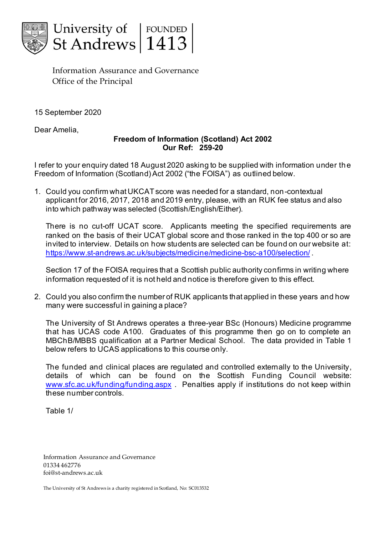

Information Assurance and Governance Office of the Principal

15 September 2020

Dear Amelia,

## **Freedom of Information (Scotland) Act 2002 Our Ref: 259-20**

I refer to your enquiry dated 18 August 2020 asking to be supplied with information under the Freedom of Information (Scotland) Act 2002 ("the FOISA") as outlined below.

1. Could you confirm what UKCAT score was needed for a standard, non-contextual applicant for 2016, 2017, 2018 and 2019 entry, please, with an RUK fee status and also into which pathway was selected (Scottish/English/Either).

There is no cut-off UCAT score. Applicants meeting the specified requirements are ranked on the basis of their UCAT global score and those ranked in the top 400 or so are invited to interview. Details on how students are selected can be found on our website at: <https://www.st-andrews.ac.uk/subjects/medicine/medicine-bsc-a100/selection/> .

Section 17 of the FOISA requires that a Scottish public authority confirms in writing where information requested of it is not held and notice is therefore given to this effect.

2. Could you also confirm the number of RUK applicants that applied in these years and how many were successful in gaining a place?

The University of St Andrews operates a three-year BSc (Honours) Medicine programme that has UCAS code A100. Graduates of this programme then go on to complete an MBChB/MBBS qualification at a Partner Medical School. The data provided in Table 1 below refers to UCAS applications to this course only.

The funded and clinical places are regulated and controlled externally to the University, details of which can be found on the Scottish Funding Council website: [www.sfc.ac.uk/funding/funding.aspx](http://www.sfc.ac.uk/funding/funding.aspx) . Penalties apply if institutions do not keep within these number controls.

Table 1/

Information Assurance and Governance 01334 462776 foi@st-andrews.ac.uk

The University of St Andrews is a charity registered in Scotland, No: SC013532